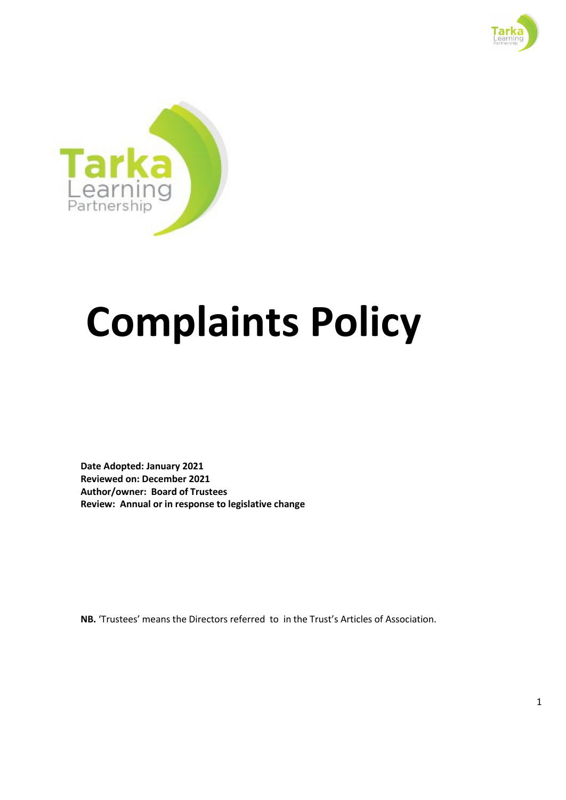



# **Complaints Policy**

**Date Adopted: January 2021 Reviewed on: December 2021 Author/owner: Board of Trustees Review: Annual or in response to legislative change**

**NB.** 'Trustees' means the Directors referred to in the Trust's Articles of Association.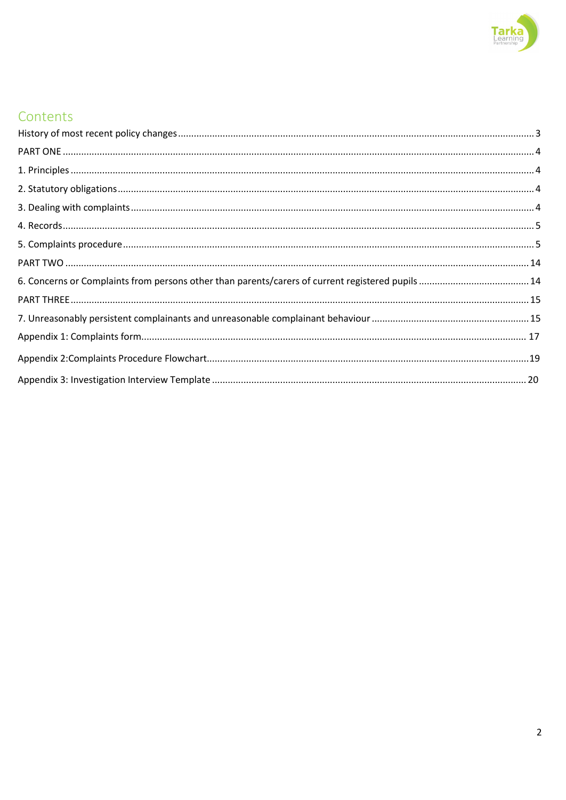

# Contents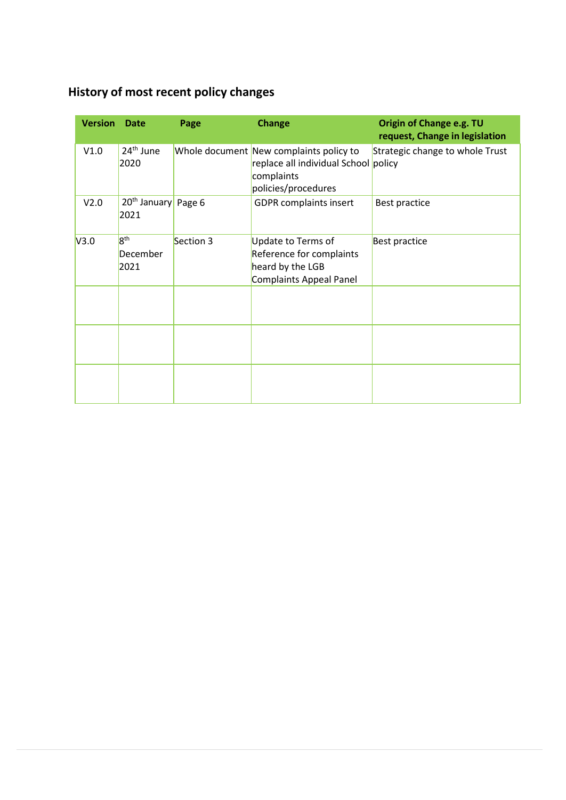# <span id="page-2-0"></span>**History of most recent policy changes**

| <b>Version</b> | <b>Date</b>                             | Page      | <b>Change</b>                                                                                                        | Origin of Change e.g. TU<br>request, Change in legislation |
|----------------|-----------------------------------------|-----------|----------------------------------------------------------------------------------------------------------------------|------------------------------------------------------------|
| V1.0           | $24th$ June<br>2020                     |           | Whole document New complaints policy to<br>replace all individual School policy<br>complaints<br>policies/procedures | Strategic change to whole Trust                            |
| V2.0           | 20 <sup>th</sup> January Page 6<br>2021 |           | <b>GDPR</b> complaints insert                                                                                        | Best practice                                              |
| V3.0           | 8 <sup>th</sup><br>December<br>2021     | Section 3 | Update to Terms of<br>Reference for complaints<br>heard by the LGB<br>Complaints Appeal Panel                        | <b>Best practice</b>                                       |
|                |                                         |           |                                                                                                                      |                                                            |
|                |                                         |           |                                                                                                                      |                                                            |
|                |                                         |           |                                                                                                                      |                                                            |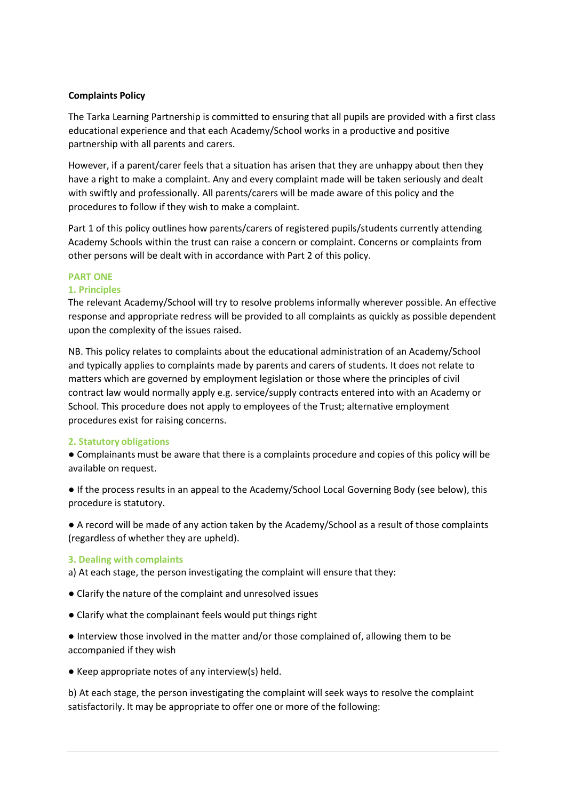# **Complaints Policy**

The Tarka Learning Partnership is committed to ensuring that all pupils are provided with a first class educational experience and that each Academy/School works in a productive and positive partnership with all parents and carers.

However, if a parent/carer feels that a situation has arisen that they are unhappy about then they have a right to make a complaint. Any and every complaint made will be taken seriously and dealt with swiftly and professionally. All parents/carers will be made aware of this policy and the procedures to follow if they wish to make a complaint.

Part 1 of this policy outlines how parents/carers of registered pupils/students currently attending Academy Schools within the trust can raise a concern or complaint. Concerns or complaints from other persons will be dealt with in accordance with Part 2 of this policy.

# <span id="page-3-0"></span>**PART ONE**

# **1. Principles**

The relevant Academy/School will try to resolve problems informally wherever possible. An effective response and appropriate redress will be provided to all complaints as quickly as possible dependent upon the complexity of the issues raised.

NB. This policy relates to complaints about the educational administration of an Academy/School and typically applies to complaints made by parents and carers of students. It does not relate to matters which are governed by employment legislation or those where the principles of civil contract law would normally apply e.g. service/supply contracts entered into with an Academy or School. This procedure does not apply to employees of the Trust; alternative employment procedures exist for raising concerns.

# <span id="page-3-1"></span>**2. Statutory obligations**

● Complainants must be aware that there is a complaints procedure and copies of this policy will be available on request.

● If the process results in an appeal to the Academy/School Local Governing Body (see below), this procedure is statutory.

● A record will be made of any action taken by the Academy/School as a result of those complaints (regardless of whether they are upheld).

# <span id="page-3-2"></span>**3. Dealing with complaints**

a) At each stage, the person investigating the complaint will ensure that they:

- Clarify the nature of the complaint and unresolved issues
- Clarify what the complainant feels would put things right

● Interview those involved in the matter and/or those complained of, allowing them to be accompanied if they wish

● Keep appropriate notes of any interview(s) held.

b) At each stage, the person investigating the complaint will seek ways to resolve the complaint satisfactorily. It may be appropriate to offer one or more of the following: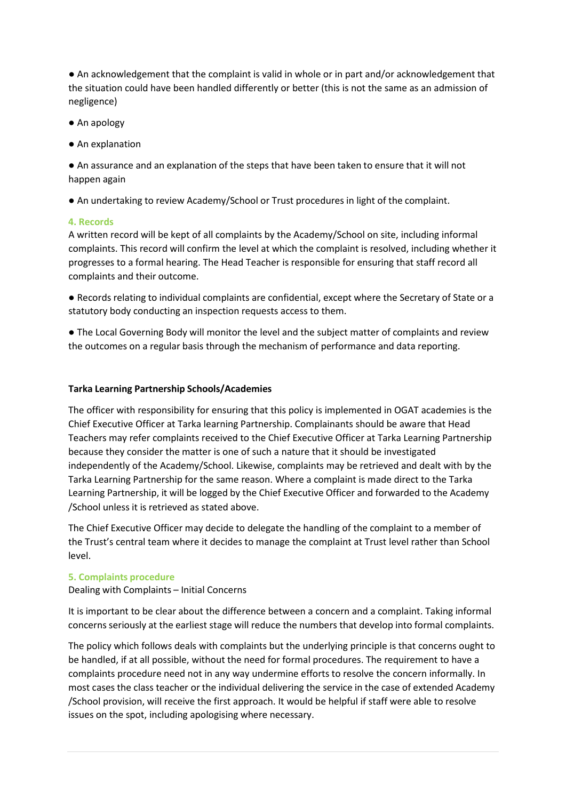● An acknowledgement that the complaint is valid in whole or in part and/or acknowledgement that the situation could have been handled differently or better (this is not the same as an admission of negligence)

- An apology
- An explanation

● An assurance and an explanation of the steps that have been taken to ensure that it will not happen again

● An undertaking to review Academy/School or Trust procedures in light of the complaint.

# <span id="page-4-0"></span>**4. Records**

A written record will be kept of all complaints by the Academy/School on site, including informal complaints. This record will confirm the level at which the complaint is resolved, including whether it progresses to a formal hearing. The Head Teacher is responsible for ensuring that staff record all complaints and their outcome.

● Records relating to individual complaints are confidential, except where the Secretary of State or a statutory body conducting an inspection requests access to them.

● The Local Governing Body will monitor the level and the subject matter of complaints and review the outcomes on a regular basis through the mechanism of performance and data reporting.

# **Tarka Learning Partnership Schools/Academies**

The officer with responsibility for ensuring that this policy is implemented in OGAT academies is the Chief Executive Officer at Tarka learning Partnership. Complainants should be aware that Head Teachers may refer complaints received to the Chief Executive Officer at Tarka Learning Partnership because they consider the matter is one of such a nature that it should be investigated independently of the Academy/School. Likewise, complaints may be retrieved and dealt with by the Tarka Learning Partnership for the same reason. Where a complaint is made direct to the Tarka Learning Partnership, it will be logged by the Chief Executive Officer and forwarded to the Academy /School unless it is retrieved as stated above.

The Chief Executive Officer may decide to delegate the handling of the complaint to a member of the Trust's central team where it decides to manage the complaint at Trust level rather than School level.

# <span id="page-4-1"></span>**5. Complaints procedure**

Dealing with Complaints – Initial Concerns

It is important to be clear about the difference between a concern and a complaint. Taking informal concerns seriously at the earliest stage will reduce the numbers that develop into formal complaints.

The policy which follows deals with complaints but the underlying principle is that concerns ought to be handled, if at all possible, without the need for formal procedures. The requirement to have a complaints procedure need not in any way undermine efforts to resolve the concern informally. In most cases the class teacher or the individual delivering the service in the case of extended Academy /School provision, will receive the first approach. It would be helpful if staff were able to resolve issues on the spot, including apologising where necessary.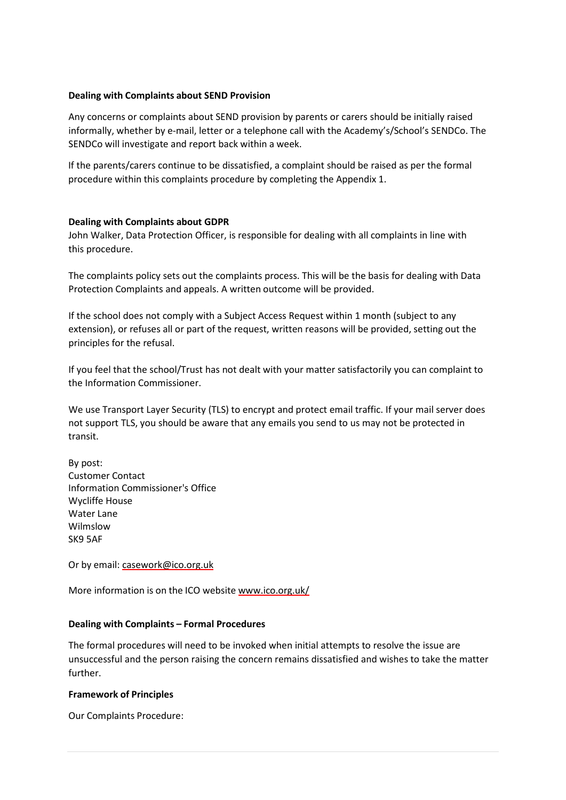# **Dealing with Complaints about SEND Provision**

Any concerns or complaints about SEND provision by parents or carers should be initially raised informally, whether by e-mail, letter or a telephone call with the Academy's/School's SENDCo. The SENDCo will investigate and report back within a week.

If the parents/carers continue to be dissatisfied, a complaint should be raised as per the formal procedure within this complaints procedure by completing the Appendix 1.

#### **Dealing with Complaints about GDPR**

John Walker, Data Protection Officer, is responsible for dealing with all complaints in line with this procedure.

The complaints policy sets out the complaints process. This will be the basis for dealing with Data Protection Complaints and appeals. A written outcome will be provided.

If the school does not comply with a Subject Access Request within 1 month (subject to any extension), or refuses all or part of the request, written reasons will be provided, setting out the principles for the refusal.

If you feel that the school/Trust has not dealt with your matter satisfactorily you can complaint to the Information Commissioner.

We use Transport Layer Security (TLS) to encrypt and protect email traffic. If your mail server does not support TLS, you should be aware that any emails you send to us may not be protected in transit.

By post: Customer Contact Information Commissioner's Office Wycliffe House Water Lane Wilmslow SK9 5AF

Or by email: [casework@ico.org.uk](mailto:casework@ico.org.uk)

More information is on the ICO website [www.ico.org.uk/](http://www.ico.org.uk/)

# **Dealing with Complaints – Formal Procedures**

The formal procedures will need to be invoked when initial attempts to resolve the issue are unsuccessful and the person raising the concern remains dissatisfied and wishes to take the matter further.

#### **Framework of Principles**

Our Complaints Procedure: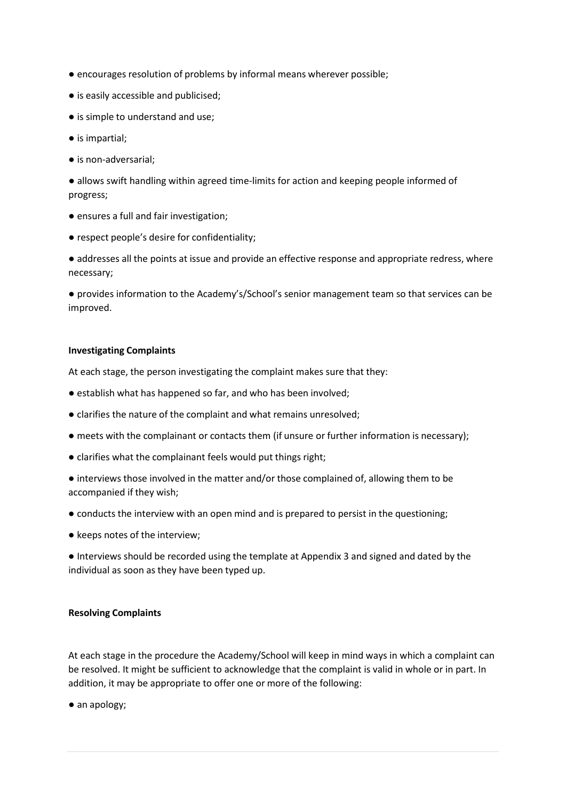- encourages resolution of problems by informal means wherever possible;
- is easily accessible and publicised;
- is simple to understand and use;
- is impartial;
- is non-adversarial;

● allows swift handling within agreed time-limits for action and keeping people informed of progress;

- ensures a full and fair investigation;
- respect people's desire for confidentiality;

● addresses all the points at issue and provide an effective response and appropriate redress, where necessary;

● provides information to the Academy's/School's senior management team so that services can be improved.

# **Investigating Complaints**

At each stage, the person investigating the complaint makes sure that they:

- establish what has happened so far, and who has been involved;
- clarifies the nature of the complaint and what remains unresolved;
- meets with the complainant or contacts them (if unsure or further information is necessary);
- clarifies what the complainant feels would put things right;
- interviews those involved in the matter and/or those complained of, allowing them to be accompanied if they wish;
- conducts the interview with an open mind and is prepared to persist in the questioning;
- keeps notes of the interview;

● Interviews should be recorded using the template at Appendix 3 and signed and dated by the individual as soon as they have been typed up.

# **Resolving Complaints**

At each stage in the procedure the Academy/School will keep in mind ways in which a complaint can be resolved. It might be sufficient to acknowledge that the complaint is valid in whole or in part. In addition, it may be appropriate to offer one or more of the following:

● an apology;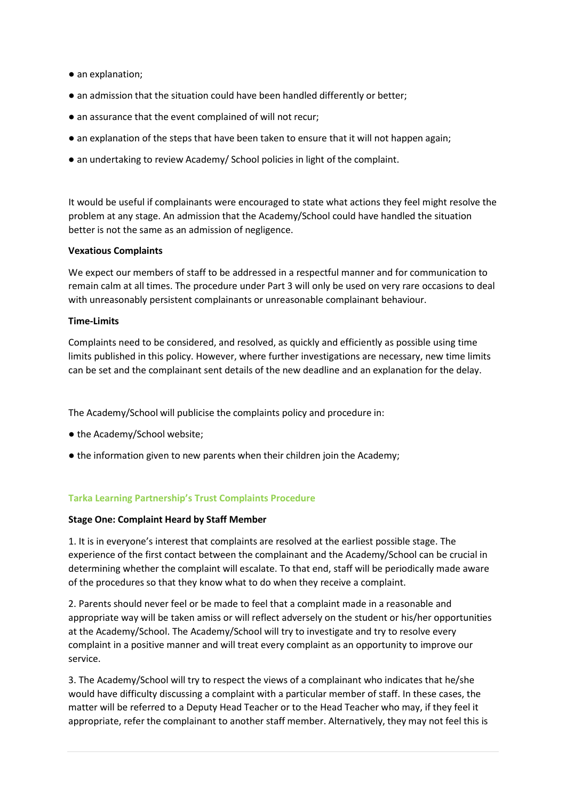- an explanation;
- an admission that the situation could have been handled differently or better;
- an assurance that the event complained of will not recur;
- an explanation of the steps that have been taken to ensure that it will not happen again;
- an undertaking to review Academy/ School policies in light of the complaint.

It would be useful if complainants were encouraged to state what actions they feel might resolve the problem at any stage. An admission that the Academy/School could have handled the situation better is not the same as an admission of negligence.

# **Vexatious Complaints**

We expect our members of staff to be addressed in a respectful manner and for communication to remain calm at all times. The procedure under Part 3 will only be used on very rare occasions to deal with unreasonably persistent complainants or unreasonable complainant behaviour.

#### **Time-Limits**

Complaints need to be considered, and resolved, as quickly and efficiently as possible using time limits published in this policy. However, where further investigations are necessary, new time limits can be set and the complainant sent details of the new deadline and an explanation for the delay.

The Academy/School will publicise the complaints policy and procedure in:

- the Academy/School website;
- the information given to new parents when their children join the Academy;

# **Tarka Learning Partnership's Trust Complaints Procedure**

# **Stage One: Complaint Heard by Staff Member**

1. It is in everyone's interest that complaints are resolved at the earliest possible stage. The experience of the first contact between the complainant and the Academy/School can be crucial in determining whether the complaint will escalate. To that end, staff will be periodically made aware of the procedures so that they know what to do when they receive a complaint.

2. Parents should never feel or be made to feel that a complaint made in a reasonable and appropriate way will be taken amiss or will reflect adversely on the student or his/her opportunities at the Academy/School. The Academy/School will try to investigate and try to resolve every complaint in a positive manner and will treat every complaint as an opportunity to improve our service.

3. The Academy/School will try to respect the views of a complainant who indicates that he/she would have difficulty discussing a complaint with a particular member of staff. In these cases, the matter will be referred to a Deputy Head Teacher or to the Head Teacher who may, if they feel it appropriate, refer the complainant to another staff member. Alternatively, they may not feel this is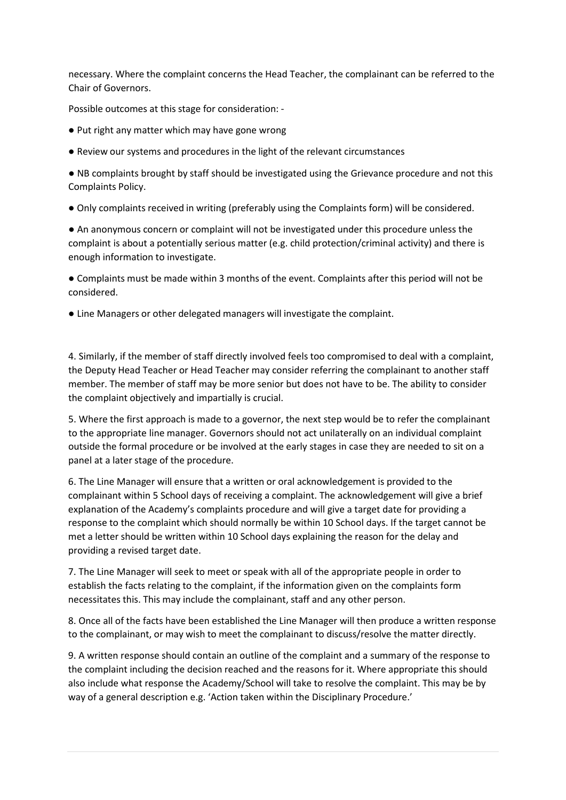necessary. Where the complaint concerns the Head Teacher, the complainant can be referred to the Chair of Governors.

Possible outcomes at this stage for consideration: -

- Put right any matter which may have gone wrong
- Review our systems and procedures in the light of the relevant circumstances

● NB complaints brought by staff should be investigated using the Grievance procedure and not this Complaints Policy.

● Only complaints received in writing (preferably using the Complaints form) will be considered.

● An anonymous concern or complaint will not be investigated under this procedure unless the complaint is about a potentially serious matter (e.g. child protection/criminal activity) and there is enough information to investigate.

● Complaints must be made within 3 months of the event. Complaints after this period will not be considered.

● Line Managers or other delegated managers will investigate the complaint.

4. Similarly, if the member of staff directly involved feels too compromised to deal with a complaint, the Deputy Head Teacher or Head Teacher may consider referring the complainant to another staff member. The member of staff may be more senior but does not have to be. The ability to consider the complaint objectively and impartially is crucial.

5. Where the first approach is made to a governor, the next step would be to refer the complainant to the appropriate line manager. Governors should not act unilaterally on an individual complaint outside the formal procedure or be involved at the early stages in case they are needed to sit on a panel at a later stage of the procedure.

6. The Line Manager will ensure that a written or oral acknowledgement is provided to the complainant within 5 School days of receiving a complaint. The acknowledgement will give a brief explanation of the Academy's complaints procedure and will give a target date for providing a response to the complaint which should normally be within 10 School days. If the target cannot be met a letter should be written within 10 School days explaining the reason for the delay and providing a revised target date.

7. The Line Manager will seek to meet or speak with all of the appropriate people in order to establish the facts relating to the complaint, if the information given on the complaints form necessitates this. This may include the complainant, staff and any other person.

8. Once all of the facts have been established the Line Manager will then produce a written response to the complainant, or may wish to meet the complainant to discuss/resolve the matter directly.

9. A written response should contain an outline of the complaint and a summary of the response to the complaint including the decision reached and the reasons for it. Where appropriate this should also include what response the Academy/School will take to resolve the complaint. This may be by way of a general description e.g. 'Action taken within the Disciplinary Procedure.'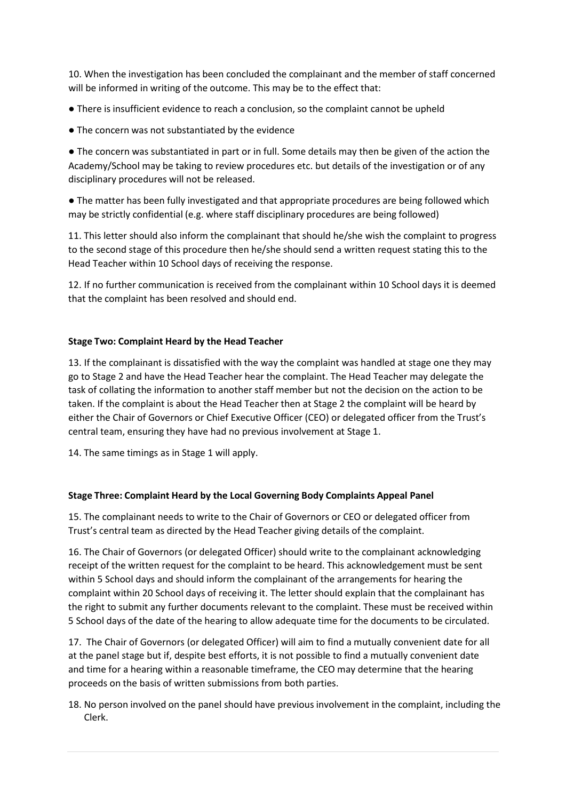10. When the investigation has been concluded the complainant and the member of staff concerned will be informed in writing of the outcome. This may be to the effect that:

● There is insufficient evidence to reach a conclusion, so the complaint cannot be upheld

● The concern was not substantiated by the evidence

● The concern was substantiated in part or in full. Some details may then be given of the action the Academy/School may be taking to review procedures etc. but details of the investigation or of any disciplinary procedures will not be released.

● The matter has been fully investigated and that appropriate procedures are being followed which may be strictly confidential (e.g. where staff disciplinary procedures are being followed)

11. This letter should also inform the complainant that should he/she wish the complaint to progress to the second stage of this procedure then he/she should send a written request stating this to the Head Teacher within 10 School days of receiving the response.

12. If no further communication is received from the complainant within 10 School days it is deemed that the complaint has been resolved and should end.

# **Stage Two: Complaint Heard by the Head Teacher**

13. If the complainant is dissatisfied with the way the complaint was handled at stage one they may go to Stage 2 and have the Head Teacher hear the complaint. The Head Teacher may delegate the task of collating the information to another staff member but not the decision on the action to be taken. If the complaint is about the Head Teacher then at Stage 2 the complaint will be heard by either the Chair of Governors or Chief Executive Officer (CEO) or delegated officer from the Trust's central team, ensuring they have had no previous involvement at Stage 1.

14. The same timings as in Stage 1 will apply.

# **Stage Three: Complaint Heard by the Local Governing Body Complaints Appeal Panel**

15. The complainant needs to write to the Chair of Governors or CEO or delegated officer from Trust's central team as directed by the Head Teacher giving details of the complaint.

16. The Chair of Governors (or delegated Officer) should write to the complainant acknowledging receipt of the written request for the complaint to be heard. This acknowledgement must be sent within 5 School days and should inform the complainant of the arrangements for hearing the complaint within 20 School days of receiving it. The letter should explain that the complainant has the right to submit any further documents relevant to the complaint. These must be received within 5 School days of the date of the hearing to allow adequate time for the documents to be circulated.

17. The Chair of Governors (or delegated Officer) will aim to find a mutually convenient date for all at the panel stage but if, despite best efforts, it is not possible to find a mutually convenient date and time for a hearing within a reasonable timeframe, the CEO may determine that the hearing proceeds on the basis of written submissions from both parties.

18. No person involved on the panel should have previous involvement in the complaint, including the Clerk.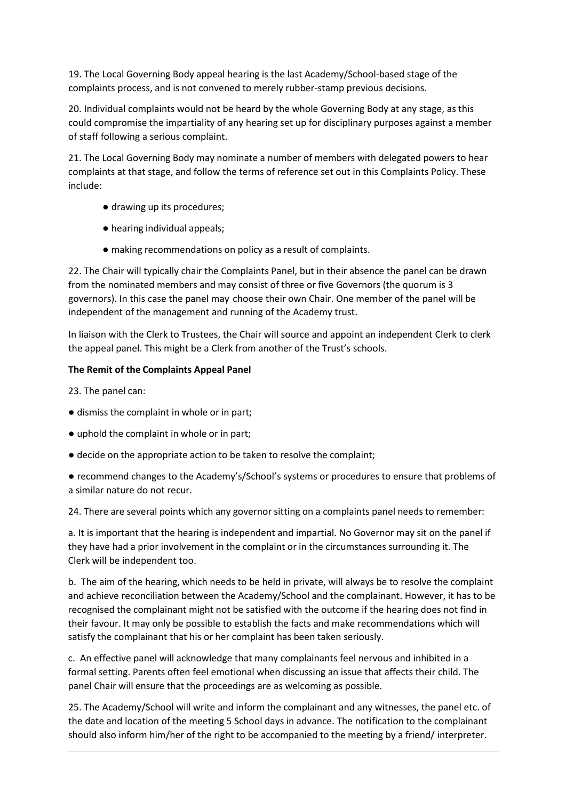19. The Local Governing Body appeal hearing is the last Academy/School-based stage of the complaints process, and is not convened to merely rubber-stamp previous decisions.

20. Individual complaints would not be heard by the whole Governing Body at any stage, as this could compromise the impartiality of any hearing set up for disciplinary purposes against a member of staff following a serious complaint.

21. The Local Governing Body may nominate a number of members with delegated powers to hear complaints at that stage, and follow the terms of reference set out in this Complaints Policy. These include:

- drawing up its procedures;
- hearing individual appeals;
- making recommendations on policy as a result of complaints.

22. The Chair will typically chair the Complaints Panel, but in their absence the panel can be drawn from the nominated members and may consist of three or five Governors (the quorum is 3 governors). In this case the panel may choose their own Chair. One member of the panel will be independent of the management and running of the Academy trust.

In liaison with the Clerk to Trustees, the Chair will source and appoint an independent Clerk to clerk the appeal panel. This might be a Clerk from another of the Trust's schools.

# **The Remit of the Complaints Appeal Panel**

23. The panel can:

- dismiss the complaint in whole or in part;
- uphold the complaint in whole or in part;
- decide on the appropriate action to be taken to resolve the complaint;
- recommend changes to the Academy's/School's systems or procedures to ensure that problems of a similar nature do not recur.

24. There are several points which any governor sitting on a complaints panel needs to remember:

a. It is important that the hearing is independent and impartial. No Governor may sit on the panel if they have had a prior involvement in the complaint or in the circumstances surrounding it. The Clerk will be independent too.

b. The aim of the hearing, which needs to be held in private, will always be to resolve the complaint and achieve reconciliation between the Academy/School and the complainant. However, it has to be recognised the complainant might not be satisfied with the outcome if the hearing does not find in their favour. It may only be possible to establish the facts and make recommendations which will satisfy the complainant that his or her complaint has been taken seriously.

c. An effective panel will acknowledge that many complainants feel nervous and inhibited in a formal setting. Parents often feel emotional when discussing an issue that affects their child. The panel Chair will ensure that the proceedings are as welcoming as possible.

25. The Academy/School will write and inform the complainant and any witnesses, the panel etc. of the date and location of the meeting 5 School days in advance. The notification to the complainant should also inform him/her of the right to be accompanied to the meeting by a friend/ interpreter.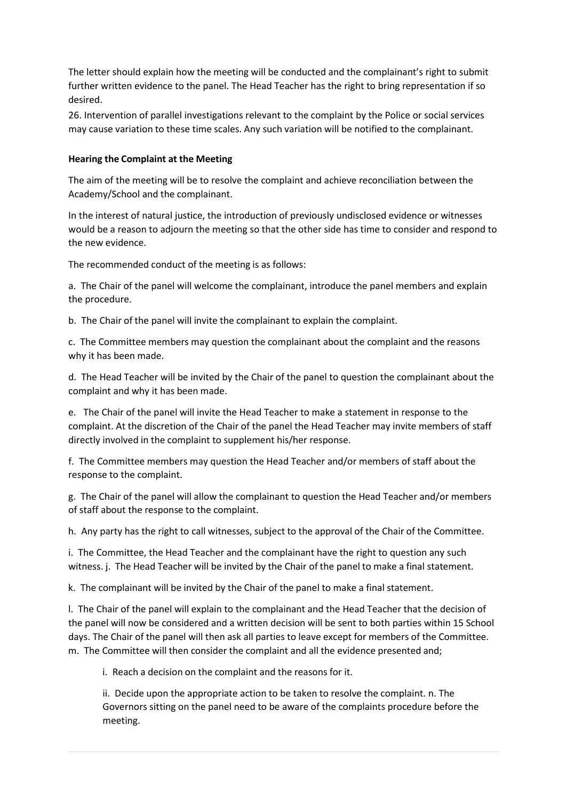The letter should explain how the meeting will be conducted and the complainant's right to submit further written evidence to the panel. The Head Teacher has the right to bring representation if so desired.

26. Intervention of parallel investigations relevant to the complaint by the Police or social services may cause variation to these time scales. Any such variation will be notified to the complainant.

# **Hearing the Complaint at the Meeting**

The aim of the meeting will be to resolve the complaint and achieve reconciliation between the Academy/School and the complainant.

In the interest of natural justice, the introduction of previously undisclosed evidence or witnesses would be a reason to adjourn the meeting so that the other side has time to consider and respond to the new evidence.

The recommended conduct of the meeting is as follows:

a. The Chair of the panel will welcome the complainant, introduce the panel members and explain the procedure.

b. The Chair of the panel will invite the complainant to explain the complaint.

c. The Committee members may question the complainant about the complaint and the reasons why it has been made.

d. The Head Teacher will be invited by the Chair of the panel to question the complainant about the complaint and why it has been made.

e. The Chair of the panel will invite the Head Teacher to make a statement in response to the complaint. At the discretion of the Chair of the panel the Head Teacher may invite members of staff directly involved in the complaint to supplement his/her response.

f. The Committee members may question the Head Teacher and/or members of staff about the response to the complaint.

g. The Chair of the panel will allow the complainant to question the Head Teacher and/or members of staff about the response to the complaint.

h. Any party has the right to call witnesses, subject to the approval of the Chair of the Committee.

i. The Committee, the Head Teacher and the complainant have the right to question any such witness. j. The Head Teacher will be invited by the Chair of the panel to make a final statement.

k. The complainant will be invited by the Chair of the panel to make a final statement.

l. The Chair of the panel will explain to the complainant and the Head Teacher that the decision of the panel will now be considered and a written decision will be sent to both parties within 15 School days. The Chair of the panel will then ask all parties to leave except for members of the Committee. m. The Committee will then consider the complaint and all the evidence presented and;

i. Reach a decision on the complaint and the reasons for it.

ii. Decide upon the appropriate action to be taken to resolve the complaint. n. The Governors sitting on the panel need to be aware of the complaints procedure before the meeting.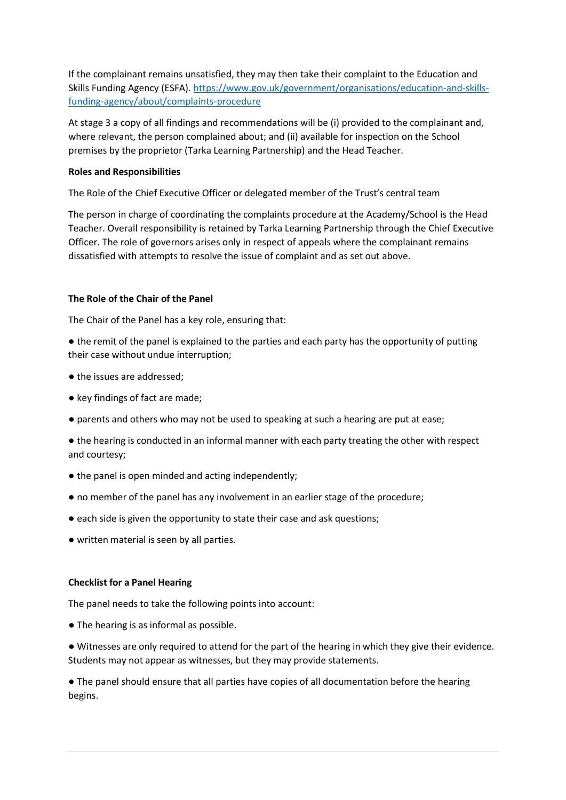If the complainant remains unsatisfied, they may then take their complaint to the Education and Skills Funding Agency (ESFA)[. https://www.gov.uk/government/organisations/education-and-skills](https://www.gov.uk/government/organisations/education-and-skills-funding-agency/about/complaints-procedure)[funding-agency/about/complaints-procedure](https://www.gov.uk/government/organisations/education-and-skills-funding-agency/about/complaints-procedure)

At stage 3 a copy of all findings and recommendations will be (i) provided to the complainant and, where relevant, the person complained about; and (ii) available for inspection on the School premises by the proprietor (Tarka Learning Partnership) and the Head Teacher.

# **Roles and Responsibilities**

The Role of the Chief Executive Officer or delegated member of the Trust's central team

The person in charge of coordinating the complaints procedure at the Academy/School is the Head Teacher. Overall responsibility is retained by Tarka Learning Partnership through the Chief Executive Officer. The role of governors arises only in respect of appeals where the complainant remains dissatisfied with attempts to resolve the issue of complaint and as set out above.

# **The Role of the Chair of the Panel**

The Chair of the Panel has a key role, ensuring that:

- the remit of the panel is explained to the parties and each party has the opportunity of putting their case without undue interruption;
- the issues are addressed;
- key findings of fact are made;
- parents and others who may not be used to speaking at such a hearing are put at ease;

● the hearing is conducted in an informal manner with each party treating the other with respect and courtesy;

- the panel is open minded and acting independently;
- no member of the panel has any involvement in an earlier stage of the procedure;
- each side is given the opportunity to state their case and ask questions;
- written material is seen by all parties.

# **Checklist for a Panel Hearing**

The panel needs to take the following points into account:

- The hearing is as informal as possible.
- Witnesses are only required to attend for the part of the hearing in which they give their evidence. Students may not appear as witnesses, but they may provide statements.

● The panel should ensure that all parties have copies of all documentation before the hearing begins.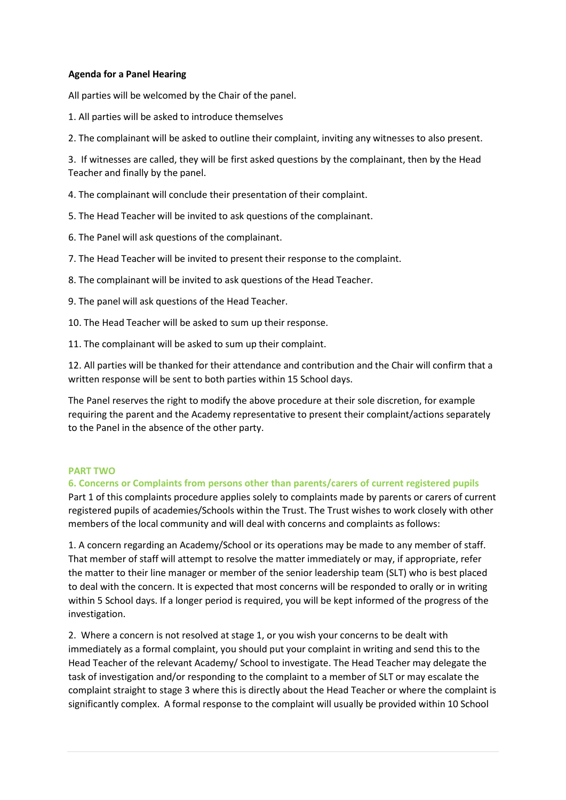# **Agenda for a Panel Hearing**

All parties will be welcomed by the Chair of the panel.

1. All parties will be asked to introduce themselves

2. The complainant will be asked to outline their complaint, inviting any witnesses to also present.

3. If witnesses are called, they will be first asked questions by the complainant, then by the Head Teacher and finally by the panel.

4. The complainant will conclude their presentation of their complaint.

5. The Head Teacher will be invited to ask questions of the complainant.

6. The Panel will ask questions of the complainant.

7. The Head Teacher will be invited to present their response to the complaint.

8. The complainant will be invited to ask questions of the Head Teacher.

9. The panel will ask questions of the Head Teacher.

10. The Head Teacher will be asked to sum up their response.

11. The complainant will be asked to sum up their complaint.

12. All parties will be thanked for their attendance and contribution and the Chair will confirm that a written response will be sent to both parties within 15 School days.

The Panel reserves the right to modify the above procedure at their sole discretion, for example requiring the parent and the Academy representative to present their complaint/actions separately to the Panel in the absence of the other party.

# <span id="page-13-0"></span>**PART TWO**

**6. Concerns or Complaints from persons other than parents/carers of current registered pupils** Part 1 of this complaints procedure applies solely to complaints made by parents or carers of current registered pupils of academies/Schools within the Trust. The Trust wishes to work closely with other members of the local community and will deal with concerns and complaints as follows:

1. A concern regarding an Academy/School or its operations may be made to any member of staff. That member of staff will attempt to resolve the matter immediately or may, if appropriate, refer the matter to their line manager or member of the senior leadership team (SLT) who is best placed to deal with the concern. It is expected that most concerns will be responded to orally or in writing within 5 School days. If a longer period is required, you will be kept informed of the progress of the investigation.

2. Where a concern is not resolved at stage 1, or you wish your concerns to be dealt with immediately as a formal complaint, you should put your complaint in writing and send this to the Head Teacher of the relevant Academy/ School to investigate. The Head Teacher may delegate the task of investigation and/or responding to the complaint to a member of SLT or may escalate the complaint straight to stage 3 where this is directly about the Head Teacher or where the complaint is significantly complex. A formal response to the complaint will usually be provided within 10 School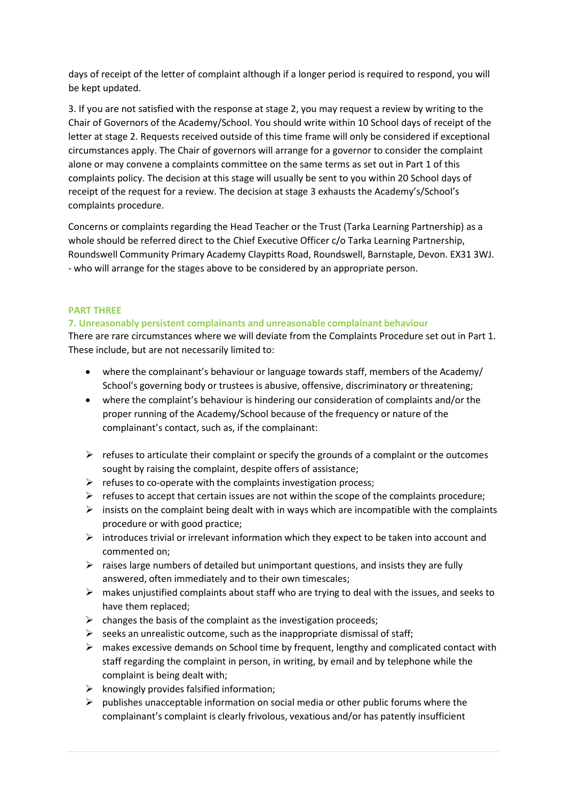days of receipt of the letter of complaint although if a longer period is required to respond, you will be kept updated.

3. If you are not satisfied with the response at stage 2, you may request a review by writing to the Chair of Governors of the Academy/School. You should write within 10 School days of receipt of the letter at stage 2. Requests received outside of this time frame will only be considered if exceptional circumstances apply. The Chair of governors will arrange for a governor to consider the complaint alone or may convene a complaints committee on the same terms as set out in Part 1 of this complaints policy. The decision at this stage will usually be sent to you within 20 School days of receipt of the request for a review. The decision at stage 3 exhausts the Academy's/School's complaints procedure.

Concerns or complaints regarding the Head Teacher or the Trust (Tarka Learning Partnership) as a whole should be referred direct to the Chief Executive Officer c/o Tarka Learning Partnership, Roundswell Community Primary Academy Claypitts Road, Roundswell, Barnstaple, Devon. EX31 3WJ. - who will arrange for the stages above to be considered by an appropriate person.

# <span id="page-14-0"></span>**PART THREE**

# <span id="page-14-1"></span>**7. Unreasonably persistent complainants and unreasonable complainant behaviour**

There are rare circumstances where we will deviate from the Complaints Procedure set out in Part 1. These include, but are not necessarily limited to:

- where the complainant's behaviour or language towards staff, members of the Academy/ School's governing body or trustees is abusive, offensive, discriminatory or threatening;
- where the complaint's behaviour is hindering our consideration of complaints and/or the proper running of the Academy/School because of the frequency or nature of the complainant's contact, such as, if the complainant:
- $\triangleright$  refuses to articulate their complaint or specify the grounds of a complaint or the outcomes sought by raising the complaint, despite offers of assistance;
- $\triangleright$  refuses to co-operate with the complaints investigation process;
- $\triangleright$  refuses to accept that certain issues are not within the scope of the complaints procedure;
- $\triangleright$  insists on the complaint being dealt with in ways which are incompatible with the complaints procedure or with good practice;
- $\triangleright$  introduces trivial or irrelevant information which they expect to be taken into account and commented on;
- $\triangleright$  raises large numbers of detailed but unimportant questions, and insists they are fully answered, often immediately and to their own timescales;
- $\triangleright$  makes unjustified complaints about staff who are trying to deal with the issues, and seeks to have them replaced;
- $\triangleright$  changes the basis of the complaint as the investigation proceeds;
- $\triangleright$  seeks an unrealistic outcome, such as the inappropriate dismissal of staff;
- $\triangleright$  makes excessive demands on School time by frequent, lengthy and complicated contact with staff regarding the complaint in person, in writing, by email and by telephone while the complaint is being dealt with;
- $\triangleright$  knowingly provides falsified information;
- $\triangleright$  publishes unacceptable information on social media or other public forums where the complainant's complaint is clearly frivolous, vexatious and/or has patently insufficient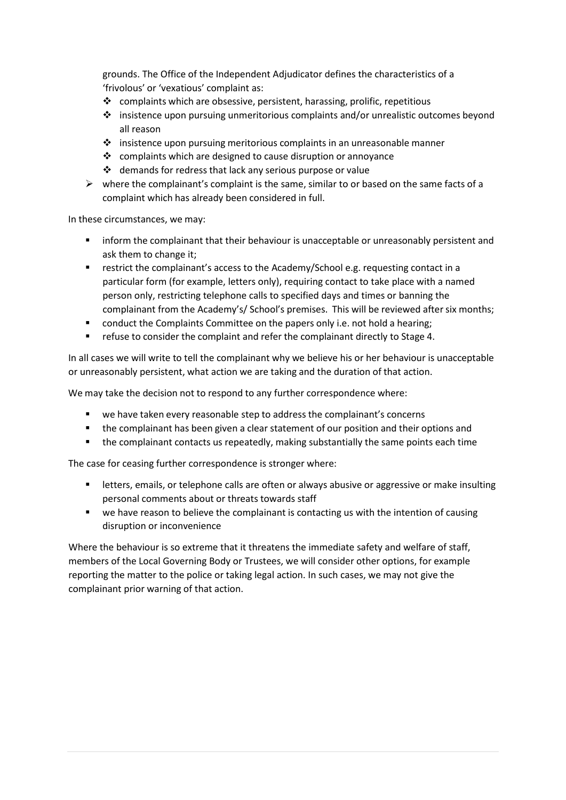grounds. The Office of the Independent Adjudicator defines the characteristics of a 'frivolous' or 'vexatious' complaint as:

- $\cdot$  complaints which are obsessive, persistent, harassing, prolific, repetitious
- $\cdot \cdot$  insistence upon pursuing unmeritorious complaints and/or unrealistic outcomes beyond all reason
- ❖ insistence upon pursuing meritorious complaints in an unreasonable manner
- $\cdot$  complaints which are designed to cause disruption or annoyance
- $\triangleleft$  demands for redress that lack any serious purpose or value
- $\triangleright$  where the complainant's complaint is the same, similar to or based on the same facts of a complaint which has already been considered in full.

In these circumstances, we may:

- **Inform the complainant that their behaviour is unacceptable or unreasonably persistent and** ask them to change it;
- **•** restrict the complainant's access to the Academy/School e.g. requesting contact in a particular form (for example, letters only), requiring contact to take place with a named person only, restricting telephone calls to specified days and times or banning the complainant from the Academy's/ School's premises. This will be reviewed after six months;
- **•** conduct the Complaints Committee on the papers only i.e. not hold a hearing;
- refuse to consider the complaint and refer the complainant directly to Stage 4.

In all cases we will write to tell the complainant why we believe his or her behaviour is unacceptable or unreasonably persistent, what action we are taking and the duration of that action.

We may take the decision not to respond to any further correspondence where:

- we have taken every reasonable step to address the complainant's concerns
- **the complainant has been given a clear statement of our position and their options and**
- **the complainant contacts us repeatedly, making substantially the same points each time**

The case for ceasing further correspondence is stronger where:

- letters, emails, or telephone calls are often or always abusive or aggressive or make insulting personal comments about or threats towards staff
- **•** we have reason to believe the complainant is contacting us with the intention of causing disruption or inconvenience

Where the behaviour is so extreme that it threatens the immediate safety and welfare of staff, members of the Local Governing Body or Trustees, we will consider other options, for example reporting the matter to the police or taking legal action. In such cases, we may not give the complainant prior warning of that action.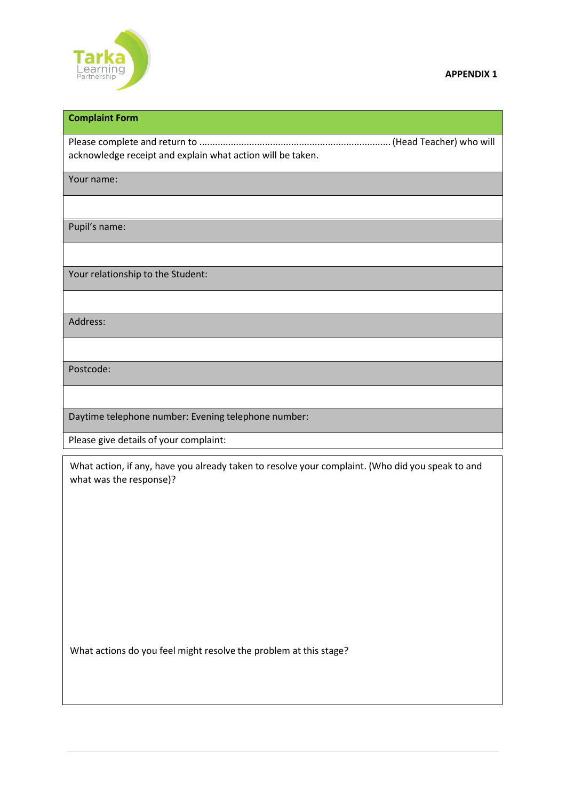

# **Complaint Form**

Please complete and return to .........................................................................(Head Teacher) who will acknowledge receipt and explain what action will be taken.

Your name:

Pupil's name:

Your relationship to the Student:

Address:

Postcode:

Daytime telephone number: Evening telephone number:

Please give details of your complaint:

What action, if any, have you already taken to resolve your complaint. (Who did you speak to and what was the response)?

What actions do you feel might resolve the problem at this stage?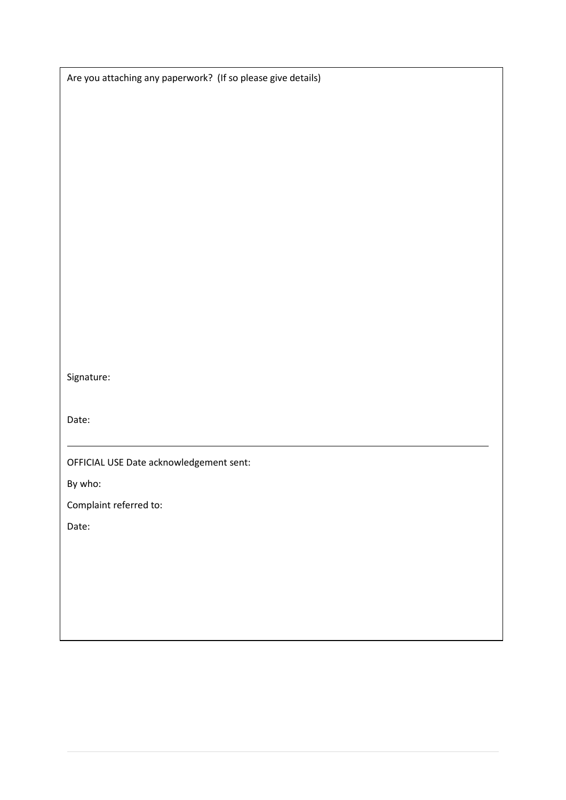Are you attaching any paperwork? (If so please give details)

Signature:

Date:

OFFICIAL USE Date acknowledgement sent:

By who:

Complaint referred to:

Date: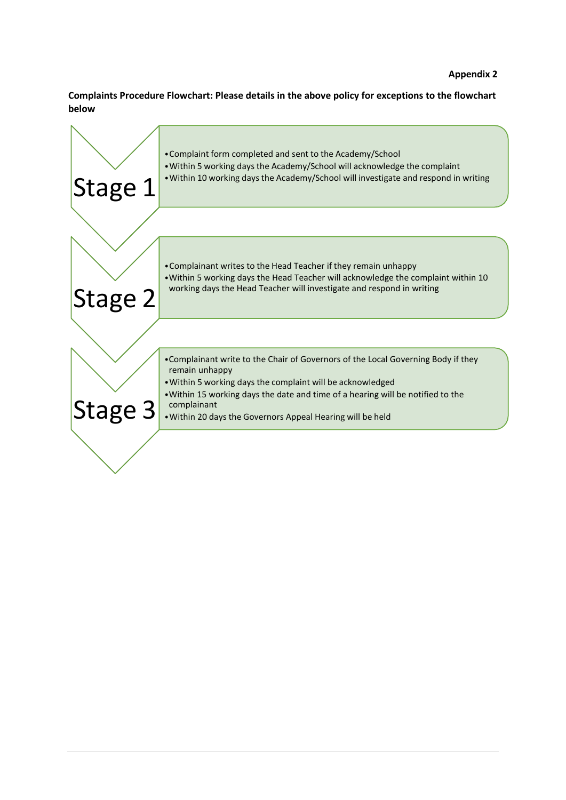**Complaints Procedure Flowchart: Please details in the above policy for exceptions to the flowchart below**

| Stage 1 | • Complaint form completed and sent to the Academy/School<br>. Within 5 working days the Academy/School will acknowledge the complaint<br>• Within 10 working days the Academy/School will investigate and respond in writing                                                                                                     |
|---------|-----------------------------------------------------------------------------------------------------------------------------------------------------------------------------------------------------------------------------------------------------------------------------------------------------------------------------------|
| Stage 2 | • Complainant writes to the Head Teacher if they remain unhappy<br>• Within 5 working days the Head Teacher will acknowledge the complaint within 10<br>working days the Head Teacher will investigate and respond in writing                                                                                                     |
| Stage 3 | . Complainant write to the Chair of Governors of the Local Governing Body if they<br>remain unhappy<br>. Within 5 working days the complaint will be acknowledged<br>• Within 15 working days the date and time of a hearing will be notified to the<br>complainant<br>. Within 20 days the Governors Appeal Hearing will be held |